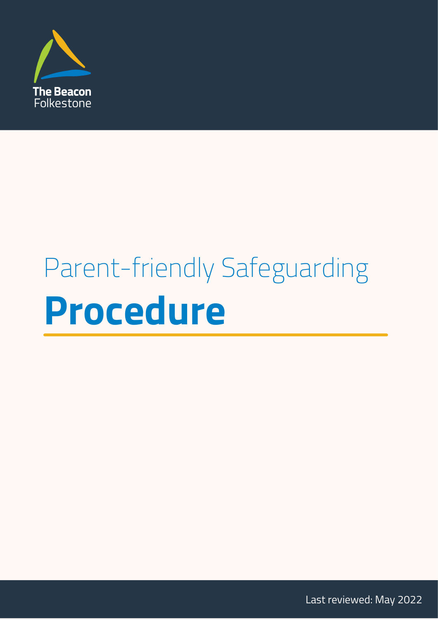

# Parent-friendly Safeguarding **Procedure**

Last reviewed: May 2022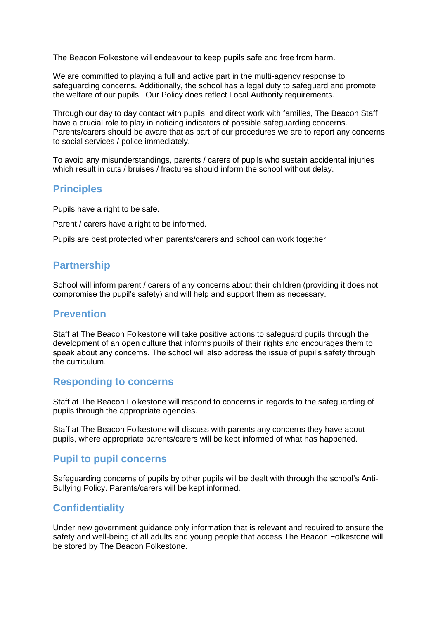The Beacon Folkestone will endeavour to keep pupils safe and free from harm.

We are committed to playing a full and active part in the multi-agency response to safeguarding concerns. Additionally, the school has a legal duty to safeguard and promote the welfare of our pupils. Our Policy does reflect Local Authority requirements.

Through our day to day contact with pupils, and direct work with families, The Beacon Staff have a crucial role to play in noticing indicators of possible safeguarding concerns. Parents/carers should be aware that as part of our procedures we are to report any concerns to social services / police immediately.

To avoid any misunderstandings, parents / carers of pupils who sustain accidental injuries which result in cuts / bruises / fractures should inform the school without delay.

#### **Principles**

Pupils have a right to be safe.

Parent / carers have a right to be informed.

Pupils are best protected when parents/carers and school can work together.

# **Partnership**

School will inform parent / carers of any concerns about their children (providing it does not compromise the pupil's safety) and will help and support them as necessary.

#### **Prevention**

Staff at The Beacon Folkestone will take positive actions to safeguard pupils through the development of an open culture that informs pupils of their rights and encourages them to speak about any concerns. The school will also address the issue of pupil's safety through the curriculum.

#### **Responding to concerns**

Staff at The Beacon Folkestone will respond to concerns in regards to the safeguarding of pupils through the appropriate agencies.

Staff at The Beacon Folkestone will discuss with parents any concerns they have about pupils, where appropriate parents/carers will be kept informed of what has happened.

# **Pupil to pupil concerns**

Safeguarding concerns of pupils by other pupils will be dealt with through the school's Anti-Bullying Policy. Parents/carers will be kept informed.

# **Confidentiality**

Under new government guidance only information that is relevant and required to ensure the safety and well-being of all adults and young people that access The Beacon Folkestone will be stored by The Beacon Folkestone.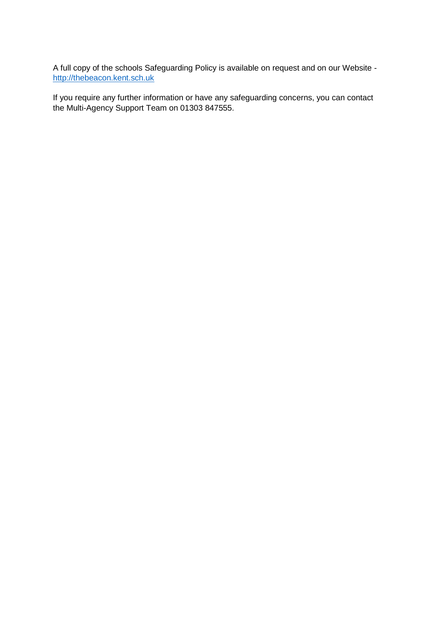A full copy of the schools Safeguarding Policy is available on request and on our Website [http://thebeacon.kent.sch.uk](http://thebeacon.kent.sch.uk/)

If you require any further information or have any safeguarding concerns, you can contact the Multi-Agency Support Team on 01303 847555.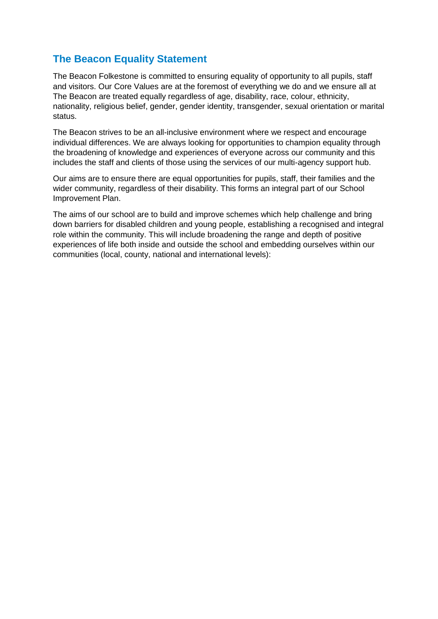# **The Beacon Equality Statement**

The Beacon Folkestone is committed to ensuring equality of opportunity to all pupils, staff and visitors. Our Core Values are at the foremost of everything we do and we ensure all at The Beacon are treated equally regardless of age, disability, race, colour, ethnicity, nationality, religious belief, gender, gender identity, transgender, sexual orientation or marital status.

The Beacon strives to be an all-inclusive environment where we respect and encourage individual differences. We are always looking for opportunities to champion equality through the broadening of knowledge and experiences of everyone across our community and this includes the staff and clients of those using the services of our multi-agency support hub.

Our aims are to ensure there are equal opportunities for pupils, staff, their families and the wider community, regardless of their disability. This forms an integral part of our School Improvement Plan.

The aims of our school are to build and improve schemes which help challenge and bring down barriers for disabled children and young people, establishing a recognised and integral role within the community. This will include broadening the range and depth of positive experiences of life both inside and outside the school and embedding ourselves within our communities (local, county, national and international levels):